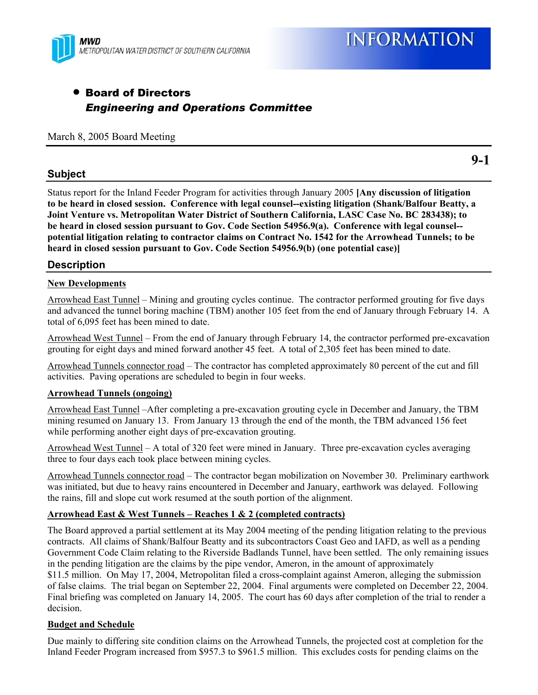

**9-1** 

# • Board of Directors *Engineering and Operations Committee*

March 8, 2005 Board Meeting

# **Subject**

Status report for the Inland Feeder Program for activities through January 2005 **[Any discussion of litigation to be heard in closed session. Conference with legal counsel--existing litigation (Shank/Balfour Beatty, a Joint Venture vs. Metropolitan Water District of Southern California, LASC Case No. BC 283438); to be heard in closed session pursuant to Gov. Code Section 54956.9(a). Conference with legal counsel- potential litigation relating to contractor claims on Contract No. 1542 for the Arrowhead Tunnels; to be heard in closed session pursuant to Gov. Code Section 54956.9(b) (one potential case)]**

# **Description**

## **New Developments**

Arrowhead East Tunnel – Mining and grouting cycles continue. The contractor performed grouting for five days and advanced the tunnel boring machine (TBM) another 105 feet from the end of January through February 14. A total of 6,095 feet has been mined to date.

Arrowhead West Tunnel – From the end of January through February 14, the contractor performed pre-excavation grouting for eight days and mined forward another 45 feet. A total of 2,305 feet has been mined to date.

Arrowhead Tunnels connector road – The contractor has completed approximately 80 percent of the cut and fill activities. Paving operations are scheduled to begin in four weeks.

#### **Arrowhead Tunnels (ongoing)**

Arrowhead East Tunnel –After completing a pre-excavation grouting cycle in December and January, the TBM mining resumed on January 13. From January 13 through the end of the month, the TBM advanced 156 feet while performing another eight days of pre-excavation grouting.

Arrowhead West Tunnel – A total of 320 feet were mined in January. Three pre-excavation cycles averaging three to four days each took place between mining cycles.

Arrowhead Tunnels connector road – The contractor began mobilization on November 30. Preliminary earthwork was initiated, but due to heavy rains encountered in December and January, earthwork was delayed. Following the rains, fill and slope cut work resumed at the south portion of the alignment.

#### **Arrowhead East & West Tunnels – Reaches 1 & 2 (completed contracts)**

The Board approved a partial settlement at its May 2004 meeting of the pending litigation relating to the previous contracts. All claims of Shank/Balfour Beatty and its subcontractors Coast Geo and IAFD, as well as a pending Government Code Claim relating to the Riverside Badlands Tunnel, have been settled. The only remaining issues in the pending litigation are the claims by the pipe vendor, Ameron, in the amount of approximately \$11.5 million. On May 17, 2004, Metropolitan filed a cross-complaint against Ameron, alleging the submission of false claims. The trial began on September 22, 2004. Final arguments were completed on December 22, 2004. Final briefing was completed on January 14, 2005. The court has 60 days after completion of the trial to render a decision.

#### **Budget and Schedule**

Due mainly to differing site condition claims on the Arrowhead Tunnels, the projected cost at completion for the Inland Feeder Program increased from \$957.3 to \$961.5 million. This excludes costs for pending claims on the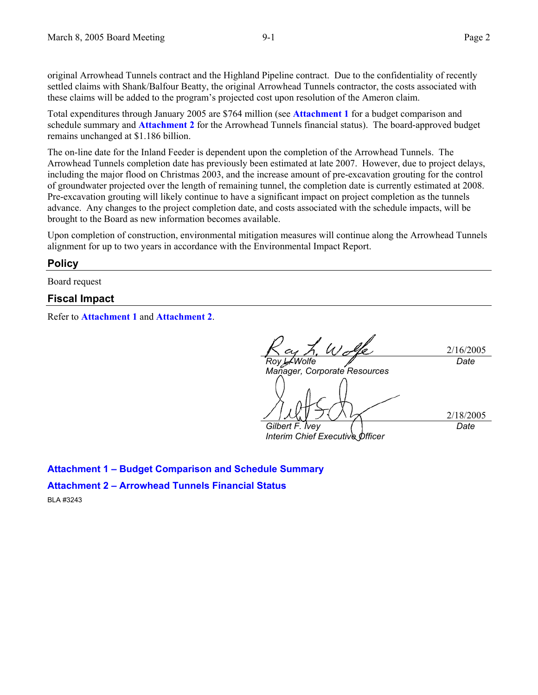original Arrowhead Tunnels contract and the Highland Pipeline contract. Due to the confidentiality of recently settled claims with Shank/Balfour Beatty, the original Arrowhead Tunnels contractor, the costs associated with these claims will be added to the program's projected cost upon resolution of the Ameron claim.

Total expenditures through January 2005 are \$764 million (see **Attachment 1** for a budget comparison and schedule summary and **Attachment 2** for the Arrowhead Tunnels financial status). The board-approved budget remains unchanged at \$1.186 billion.

The on-line date for the Inland Feeder is dependent upon the completion of the Arrowhead Tunnels. The Arrowhead Tunnels completion date has previously been estimated at late 2007. However, due to project delays, including the major flood on Christmas 2003, and the increase amount of pre-excavation grouting for the control of groundwater projected over the length of remaining tunnel, the completion date is currently estimated at 2008. Pre-excavation grouting will likely continue to have a significant impact on project completion as the tunnels advance. Any changes to the project completion date, and costs associated with the schedule impacts, will be brought to the Board as new information becomes available.

Upon completion of construction, environmental mitigation measures will continue along the Arrowhead Tunnels alignment for up to two years in accordance with the Environmental Impact Report.

## **Policy**

Board request

## **Fiscal Impact**

Refer to **Attachment 1** and **Attachment 2**.

2/16/2005 *Roy L. Wolfe Manager, Corporate Resources Date*  2/18/2005 *Gilbert F. Ivey Interim Chief Executive Officer Date* 

**Attachment 1 – Budget Comparison and Schedule Summary** 

**Attachment 2 – Arrowhead Tunnels Financial Status** 

BLA #3243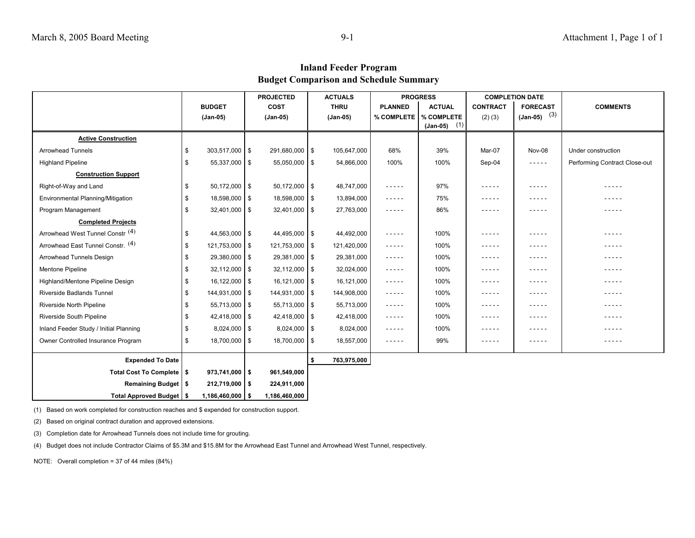## **Inland Feeder Program Budget Comparison and Schedule Summary**

|                                        |                         |                   | <b>PROJECTED</b> |      | <b>ACTUALS</b> |                | <b>PROGRESS</b>              | <b>COMPLETION DATE</b>                                                                                        |                                                                                                                                                                                                                                                                                                                                                                                                                                                                            |                               |
|----------------------------------------|-------------------------|-------------------|------------------|------|----------------|----------------|------------------------------|---------------------------------------------------------------------------------------------------------------|----------------------------------------------------------------------------------------------------------------------------------------------------------------------------------------------------------------------------------------------------------------------------------------------------------------------------------------------------------------------------------------------------------------------------------------------------------------------------|-------------------------------|
|                                        | <b>BUDGET</b>           |                   | <b>COST</b>      |      | <b>THRU</b>    | <b>PLANNED</b> | <b>ACTUAL</b>                | <b>CONTRACT</b>                                                                                               | <b>FORECAST</b>                                                                                                                                                                                                                                                                                                                                                                                                                                                            | <b>COMMENTS</b>               |
|                                        | (Jan-05)                |                   | (Jan-05)         |      | (Jan-05)       | % COMPLETE     | % COMPLETE<br>$(Jan-05)$ (1) | $(2)$ $(3)$                                                                                                   | $(Jan-05)$ (3)                                                                                                                                                                                                                                                                                                                                                                                                                                                             |                               |
| <b>Active Construction</b>             |                         |                   |                  |      |                |                |                              |                                                                                                               |                                                                                                                                                                                                                                                                                                                                                                                                                                                                            |                               |
| <b>Arrowhead Tunnels</b>               | $303,517,000$ \$<br>\$  |                   | 291,680,000 \$   |      | 105,647,000    | 68%            | 39%                          | Mar-07                                                                                                        | Nov-08                                                                                                                                                                                                                                                                                                                                                                                                                                                                     | Under construction            |
| <b>Highland Pipeline</b>               | \$                      | 55,337,000 \$     | $55,050,000$ \$  |      | 54,866,000     | 100%           | 100%                         | Sep-04                                                                                                        | $- - - - -$                                                                                                                                                                                                                                                                                                                                                                                                                                                                | Performing Contract Close-out |
| <b>Construction Support</b>            |                         |                   |                  |      |                |                |                              |                                                                                                               |                                                                                                                                                                                                                                                                                                                                                                                                                                                                            |                               |
| Right-of-Way and Land                  | $50,172,000$ \$<br>\$   |                   | $50,172,000$ \$  |      | 48,747,000     | -----          | 97%                          | $- - - - -$                                                                                                   | -----                                                                                                                                                                                                                                                                                                                                                                                                                                                                      | .                             |
|                                        | \$                      | 18,598,000 \$     | 18,598,000 \$    |      | 13,894,000     |                | 75%                          | $- - - - -$                                                                                                   | -----                                                                                                                                                                                                                                                                                                                                                                                                                                                                      |                               |
| Environmental Planning/Mitigation      |                         |                   |                  |      |                | -----          | 86%                          |                                                                                                               |                                                                                                                                                                                                                                                                                                                                                                                                                                                                            | -----<br>.                    |
| Program Management                     | \$                      | 32,401,000 \$     | $32,401,000$ \$  |      | 27,763,000     | -----          |                              | -----                                                                                                         | -----                                                                                                                                                                                                                                                                                                                                                                                                                                                                      |                               |
| <b>Completed Projects</b>              |                         |                   |                  |      |                |                |                              |                                                                                                               |                                                                                                                                                                                                                                                                                                                                                                                                                                                                            |                               |
| Arrowhead West Tunnel Constr. (4)      | 44,563,000 \$<br>\$     |                   | 44,495,000 \$    |      | 44,492,000     | -----          | 100%                         | -----                                                                                                         | -----                                                                                                                                                                                                                                                                                                                                                                                                                                                                      | .                             |
| Arrowhead East Tunnel Constr. (4)      | \$<br>121,753,000 \$    |                   | 121,753,000 \$   |      | 121,420,000    | -----          | 100%                         | -----                                                                                                         | -----                                                                                                                                                                                                                                                                                                                                                                                                                                                                      | .                             |
| Arrowhead Tunnels Design               | 29,380,000 \$<br>\$     |                   | 29,381,000 \$    |      | 29,381,000     | -----          | 100%                         | -----                                                                                                         | -----                                                                                                                                                                                                                                                                                                                                                                                                                                                                      | - - - - -                     |
| Mentone Pipeline                       | \$                      | $32,112,000$ \ \$ | $32,112,000$ \$  |      | 32,024,000     | -----          | 100%                         | $- - - - -$                                                                                                   | -----                                                                                                                                                                                                                                                                                                                                                                                                                                                                      | - - - - -                     |
| Highland/Mentone Pipeline Design       | \$                      | $16,122,000$ \$   | 16,121,000 \$    |      | 16,121,000     | -----          | 100%                         | $\frac{1}{2} \frac{1}{2} \frac{1}{2} \frac{1}{2} \frac{1}{2} \frac{1}{2} \frac{1}{2} \frac{1}{2} \frac{1}{2}$ | -----                                                                                                                                                                                                                                                                                                                                                                                                                                                                      | - - - - -                     |
| Riverside Badlands Tunnel              | 144,931,000 \$<br>\$    |                   | 144,931,000   \$ |      | 144,908,000    | -----          | 100%                         | $- - - - -$                                                                                                   | -----                                                                                                                                                                                                                                                                                                                                                                                                                                                                      | - - - - -                     |
| Riverside North Pipeline               | \$                      | 55,713,000 \$     | $55,713,000$ \$  |      | 55,713,000     | -----          | 100%                         | $- - - - -$                                                                                                   | -----                                                                                                                                                                                                                                                                                                                                                                                                                                                                      | - - - - -                     |
| Riverside South Pipeline               | \$<br>$42,418,000$ \ \$ |                   | $42,418,000$ \$  |      | 42,418,000     | -----          | 100%                         | $- - - - -$                                                                                                   | $\frac{1}{2} \left( \frac{1}{2} \right) \left( \frac{1}{2} \right) \left( \frac{1}{2} \right) \left( \frac{1}{2} \right) \left( \frac{1}{2} \right) \left( \frac{1}{2} \right) \left( \frac{1}{2} \right) \left( \frac{1}{2} \right) \left( \frac{1}{2} \right) \left( \frac{1}{2} \right) \left( \frac{1}{2} \right) \left( \frac{1}{2} \right) \left( \frac{1}{2} \right) \left( \frac{1}{2} \right) \left( \frac{1}{2} \right) \left( \frac{1}{2} \right) \left( \frac$ | -----                         |
| Inland Feeder Study / Initial Planning | \$                      | $8,024,000$ \ \$  | $8,024,000$ \$   |      | 8,024,000      | -----          | 100%                         | $- - - - -$                                                                                                   | -----                                                                                                                                                                                                                                                                                                                                                                                                                                                                      | .                             |
| Owner Controlled Insurance Program     | \$                      | 18,700,000 \$     | 18,700,000 \$    |      | 18,557,000     | -----          | 99%                          | $- - - - - -$                                                                                                 | -----                                                                                                                                                                                                                                                                                                                                                                                                                                                                      | -----                         |
| <b>Expended To Date</b>                |                         |                   |                  | - \$ | 763,975,000    |                |                              |                                                                                                               |                                                                                                                                                                                                                                                                                                                                                                                                                                                                            |                               |
| Total Cost To Complete   \$            | $973,741,000$   \$      |                   | 961,549,000      |      |                |                |                              |                                                                                                               |                                                                                                                                                                                                                                                                                                                                                                                                                                                                            |                               |
| Remaining Budget   \$                  | $212,719,000$   \$      |                   | 224,911,000      |      |                |                |                              |                                                                                                               |                                                                                                                                                                                                                                                                                                                                                                                                                                                                            |                               |
| Total Approved Budget   \$             | $1,186,460,000$ \$      |                   | 1,186,460,000    |      |                |                |                              |                                                                                                               |                                                                                                                                                                                                                                                                                                                                                                                                                                                                            |                               |

(1) Based on work completed for construction reaches and \$ expended for construction support.

(2) Based on original contract duration and approved extensions.

(3) Completion date for Arrowhead Tunnels does not include time for grouting.

(4) Budget does not include Contractor Claims of \$5.3M and \$15.8M for the Arrowhead East Tunnel and Arrowhead West Tunnel, respectively.

NOTE: Overall completion = 37 of 44 miles (84%)